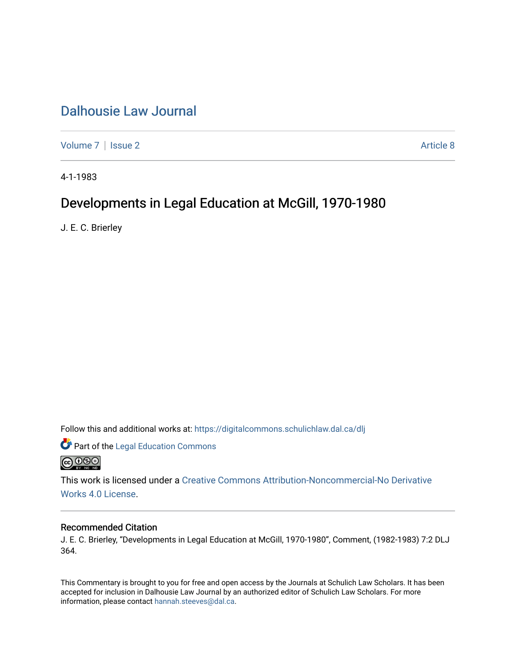# [Dalhousie Law Journal](https://digitalcommons.schulichlaw.dal.ca/dlj)

[Volume 7](https://digitalcommons.schulichlaw.dal.ca/dlj/vol7) | [Issue 2](https://digitalcommons.schulichlaw.dal.ca/dlj/vol7/iss2) Article 8

4-1-1983

# Developments in Legal Education at McGill, 1970-1980

J. E. C. Brierley

Follow this and additional works at: [https://digitalcommons.schulichlaw.dal.ca/dlj](https://digitalcommons.schulichlaw.dal.ca/dlj?utm_source=digitalcommons.schulichlaw.dal.ca%2Fdlj%2Fvol7%2Fiss2%2F8&utm_medium=PDF&utm_campaign=PDFCoverPages) 

**Part of the Legal Education Commons @** 000

This work is licensed under a [Creative Commons Attribution-Noncommercial-No Derivative](https://creativecommons.org/licenses/by-nc-nd/4.0/)  [Works 4.0 License](https://creativecommons.org/licenses/by-nc-nd/4.0/).

## Recommended Citation

J. E. C. Brierley, "Developments in Legal Education at McGill, 1970-1980", Comment, (1982-1983) 7:2 DLJ 364.

This Commentary is brought to you for free and open access by the Journals at Schulich Law Scholars. It has been accepted for inclusion in Dalhousie Law Journal by an authorized editor of Schulich Law Scholars. For more information, please contact [hannah.steeves@dal.ca](mailto:hannah.steeves@dal.ca).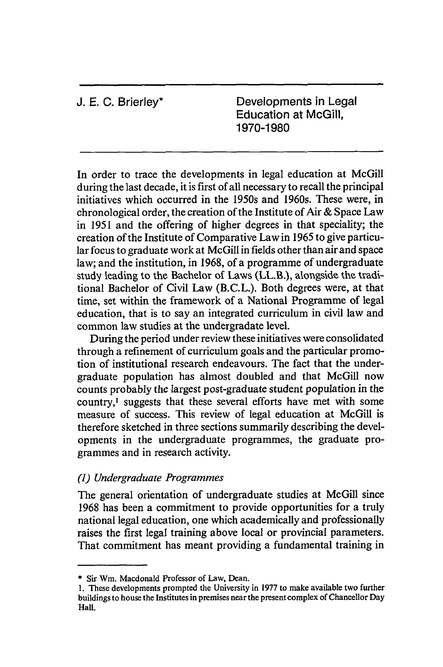**J. E.** C. Brierley\* Developments in Legal Education at McGill, 1970-1980

In order to trace the developments in legal education at McGill during the last decade, it is first of all necessary to recall the principal initiatives which occurred in the 1950s and 1960s. These were, in chronological order, the creation of the Institute of Air & Space Law in 1951 and the offering of higher degrees in that speciality; the creation of the Institute of Comparative Law in 1965 to give particular focus to graduate work at McGill in fields other than air and space law; and the institution, in 1968, of a programme of undergraduate study leading to the Bachelor of Laws (LL.B.), alongside the traditional Bachelor of Civil Law (B.C.L.). Both degrees were, at that time, set within the framework of a National Programme of legal education, that is to say an integrated curriculum in civil law and common law studies at the undergradate level.

During the period under review these initiatives were consolidated through a refinement of curriculum goals and the particular promotion of institutional research endeavours. The fact that the undergraduate population has almost doubled and that McGill now counts probably the largest post-graduate student population in the country,' suggests that these several efforts have met with some measure of success. This review of legal education at McGill is therefore sketched in three sections summarily describing the developments in the undergraduate programmes, the graduate programmes and in research activity.

## *(1) Undergraduate Programmes*

The general orientation of undergraduate studies at McGill since 1968 has been a commitment to provide opportunities for a truly national legal education, one which academically and professionally raises the first legal training above local or provincial parameters. That commitment has meant providing a fundamental training in

<sup>\*</sup> Sir Wm. Macdonald Professor of Law, Dean.

**<sup>1.</sup>** These developments prompted the University in 1977 to make available two further buildings to house the Institutes in premises near the present complex of Chancellor Day Hall.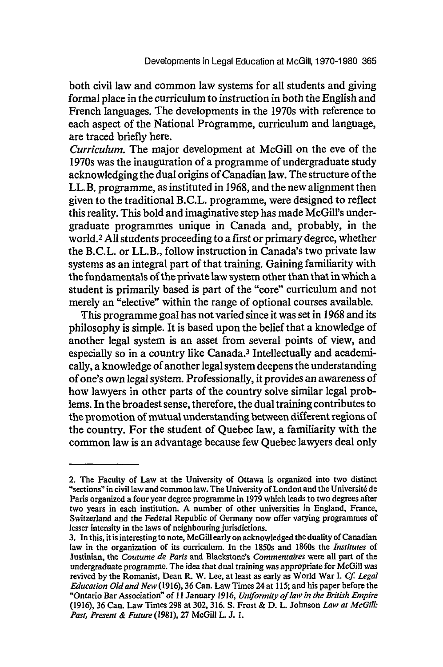both civil law and common law systems for all students and giving formal place in the curriculum to instruction in both the English and French languages. The developments in the 1970s with reference to each aspect of the National Programme, curriculum and language, are traced briefly here.

*Curriculum.* The major development at McGill on the eve of the 1970s was the inauguration of a programme of undergraduate study acknowledging the dual origins of Canadian law. The structure of the LL.B. programme, as instituted in 1968, and the new alignment then given to the traditional B.C.L. programme, were designed to reflect this reality. This bold and imaginative step has made McGill's undergraduate programmes unique in Canada and, probably, in the world.2 **All** students proceeding to a first or primary degree, whether the B.C.L. or LL.B., follow instruction in Canada's two private law systems as an integral part of that training. Gaining familiarity with the fundamentals of the private law system other than that in which a student is primarily based is part of the "core" curriculum and not merely an "elective" within the range of optional courses available.

This programme goal has not varied since it was set in 1968 and its philosophy is simple. It is based upon the belief that a knowledge of another legal system is an asset from several points of view, and especially so in a country like Canada.<sup>3</sup> Intellectually and academically, a knowledge of another legal system deepens the understanding of one's own legal system. Professionally, it provides an awareness of how lawyers in other parts of the country solve similar legal problems. In the broadest sense, therefore, the dual training contributes to the promotion of mutual understanding between different regions **of** the country. For the student of Quebec law, a familiarity with the common law is an advantage because few Quebec lawyers deal only

<sup>2.</sup> The Faculty of Law at the University of Ottawa is organized into two distinct "sections" in civil law and common law. The University of London and the Universit6 de Paris organized a four year degree programme in 1979 which leads to two degrees after two years in each institution. A number of other universities in England, France, Switzerland and the Federal Republic of Germany now offer varying programmes of lesser intensity in the laws of neighbouring jurisdictions.

<sup>3.</sup> In this, it is interesting to note, McGill early on acknowledged the duality of Canadian law in the organization of its curriculum. In the 1850s and 1860s the *Institutes* of Justinian, the *Coutume de Paris* and Blackstone's *Commentaires* were all part of the undergraduate programme. The idea that dual training was appropriate for McGill was revived by the Romanist, Dean R. W. Lee, at least as early as World War I. *Cf. Legal Education Oldand New* (1916), 36 Can. Law Times 24 at 115; and his paper before the "Ontario Bar Association" of 11 January 1916, *Uniformity of law in the British Empire* (1916), 36 Can. Law Times 298 at 302, 316. S. Frost & D. L. Johnson *Law at McGill: Past, Present & Future* (1981), 27 McGill L. J. *1.*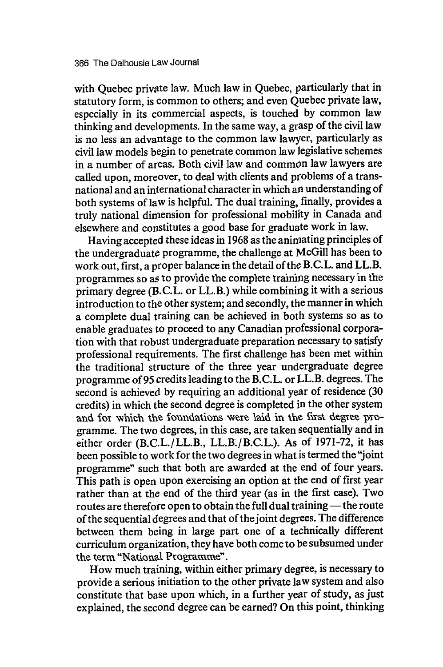with Quebec private law. Much law in Quebec, particularly that in statutory form, is common to others; and even Quebec private law, especially in its commercial aspects, is touched by common law thinking and developments. In the same way, a grasp of the civil law is no less an advantage to the common law lawyer, particularly as civil law models begin to penetrate common law legislative schemes in a number of areas. Both civil law and common law lawyers are called upon, moreover, to deal with clients and problems of a transnational and an international character in which an understanding of both systems of law is helpful. The dual training, finally, provides a truly national diniension for professional mobility in Canada and elsewhere and constitutes a good base for graduate work in law.

Having accepted these ideas in 1968 as the anirmating principles of the undergraduate programme, the challenge at McGill has been to work out, first, a proper balance in the detail of the B.C.L. and LL.B. programmes so as to provide the complete training necessary in the primary degree (B.C.L. or LL.B.) while combining it with a serious introduction to the other system; and secondly, the manner in which a complete dual training can be achieved in both systems so as to enable graduates to proceed to any Canadian professional corporation with that robust undergraduate preparation necessary to satisfy professional requirements. The first challenge has been met within the traditional structure of the three year undergraduate degree programme of 95 credits leading to the B.C.L. or LL.B. degrees. The second is achieved by requiring an additional year of residence (30) credits) in which the second degree is completed in the other system and for which the foundations were laid in the first degree programme. The two degrees, in this case, are taken sequentially and in either order (B.C.L./LL.B., LL.B./B.C.L.). As of 1971-72, it has been possible to work for the two degrees in what is termed the "joint programme" such that both are awarded at the end of four years. This path is open upon exercising an option at the end of first year rather than at the end of the third year (as in the first case). Two routes are therefore open to obtain the full dual training - the route of the sequential degrees and that of thejoint degrees. The difference between them being in large part one of a technically different curriculum organization, they have both come to be subsumed under the term "Nationat Programme".

How much training, within either primary degree, is necessary to provide a serious initiation to the other private law system and also constitute that base upon which, in a further year of study, as just explained, the second degree can be earned? On this point, thinking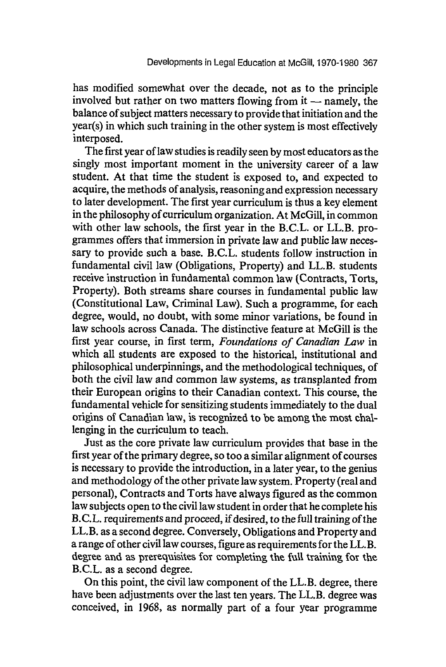has modified somewhat over the decade, not as to the principle involved but rather on two matters flowing from it  $-$  namely, the balance of subject matters necessary to provide that initiation and the year(s) in which such training in the other system is most effectively interposed.

The first year of law studies is readily seen by most educators as the singly most important moment in the university career of a law student. At that time the student is exposed to, and expected to acquire, the methods of analysis, reasoning and expression necessary to later development. The first year curriculum is thus a key element in the philosophy of curriculum organization. At McGill, in common with other law schools, the first year in the B.C.L. or LL.B. programmes offers that immersion in private law and public law necessary to provide such a base. B.C.L. students follow instruction in fundamental civil law (Obligations, Property) and LL.B. students receive instruction in fundamental common law (Contracts, Torts, Property). Both streams share courses in fundamental public law (Constitutional Law, Criminal Law). Such a programme, for each degree, would, no doubt, with some minor variations, be found in law schools across Canada. The distinctive feature at McGill is the first year course, in first term, *Foundations of Canadian Law* in which all students are exposed to the historical, institutional and philosophical underpinnings, and the methodological techniques, of both the civil law and common law systems, as transplanted from their European origins to their Canadian context, This course, the fundamental vehicle for sensitizing students immediately to the dual origins of Canadian law, is recognized to be among the most challenging in the curriculum to teach.

Just as the core private law curriculum provides that base in the first year of the primary degree, so too a similar alignment of courses is necessary to provide the introduction, in a later year, to the genius and methodology of the other private law system. Property (real and personal), Contracts and Torts have always figured as the common law subjects open to the civil law student in order that he complete his B.C.L. requirements and proceed, if desired, to the full training of the LL.B. as a second degree. Conversely, Obligations and Property and a range of other civil law courses, figure as requirements for the LL.B. degree and as prerequisites for completing the full training for the B.C.L. as a second degree.

On this point, the civil law component of the LL.B. degree, there have been adjustments over the last ten years. The LL.B. degree was conceived, in 1968, as normally part of a four year programme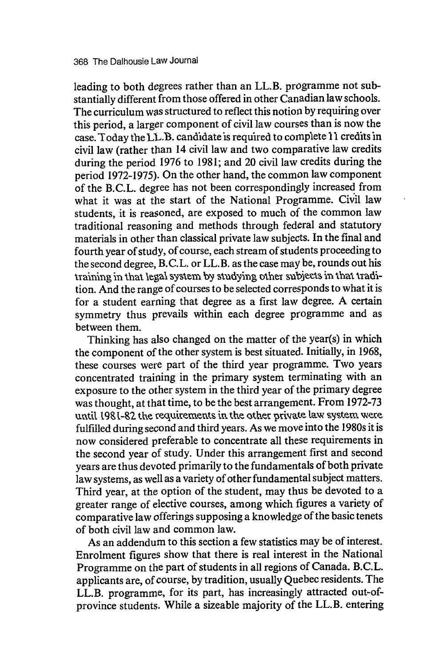leading to both degrees rather than an LL.B. programme not substantially different from those offered in other Canadian law schools. The curriculum was structured to reflect this notion by requiring over this period, a larger component of civil law courses than is now the case. Today the LL.B. candidate is required to complete 11 credits in civil law (rather than 14 civil law and two comparative law credits during the period 1976 to 1981; and 20 civil law credits during the period 1972-1975). On the other hand, the common law component of the B.C.L. degree has not been correspondingly increased from what it was at the start of the National Programme. Civil law students, it is reasoned, are exposed to much of the common law traditional reasoning and methods through federal and statutory materials in other than classical private law subjects. In the final and fourth year of study, of course, each stream of students proceeding to the second degree, B.C.L. or LL.B. as the case may be, rounds out his training in that legal system by studying other subjects in that tradition. And the range of courses to be selected corresponds to what it is for a student earning that degree as a first law degree. A certain symmetry thus prevails within each degree programme and as between them.

Thinking has also changed on the matter of the year(s) in which the component of the other system is best situated. Initially, in 1968, these courses were part of the third year programme. Two years concentrated training in the primary system terminating with an exposure to the other system in the third year of the primary degree was thought, at that time, to be the best arrangement. From 1972-73 until 1981-82 the requirements in the other private law system were fulfilled during second and third years. As we move into the 1980s it is now considered preferable to concentrate all these requirements in the second year of study. Under this arrangement first and second years are thus devoted primarily to the fundamentals of both private law systems, as well as a variety of other fundamental subject matters. Third year, at the option of the student, may thus be devoted to a greater range of elective courses, among which figures a variety of comparative law offerings supposing a knowledge of the basic tenets of both civil law and common law.

As an addendum to this section a few statistics may be of interest. Enrolment figures show that there is real interest in the National Programme on the part of students in all regions of Canada. B.C.L. applicants are, of course, by tradition, usually Quebec residents. The LL.B. programme, for its part, has increasingly attracted out-ofprovince students. While a sizeable majority of the LL.B. entering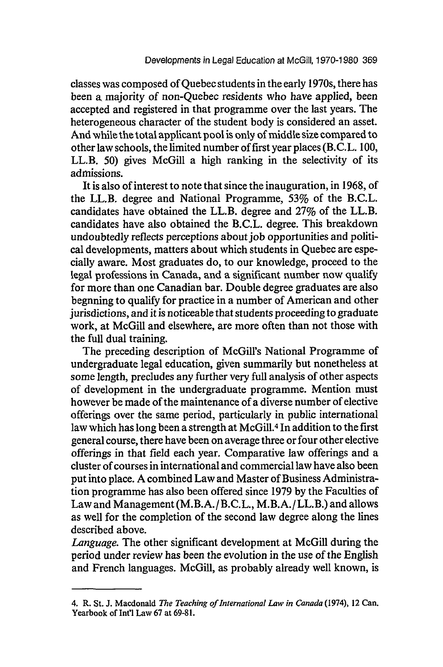classes was composed of Quebec students in the early 1970s, there has been a majority of non-Quebec residents who have applied, been accepted and registered in that programme over the last years. The heterogeneous character of the student body is considered an asset. And while the total applicant pool is only of middle size compared to other law schools, the limited number of first year places (B.C.L. 100, LL.B. 50) gives McGill a high ranking in the selectivity of its admissions.

It is also of interest to note that since the inauguration, in 1968, of the LL.B. degree and National Programme, *53%* of the B.C.L. candidates have obtained the LL.B. degree and 27% of the LL.B. candidates have also obtained the B.C.L. degree. This breakdown undoubtedly reflects perceptions about job opportunities and political developments, matters about which students in Quebec are especially aware. Most graduates do, to our knowledge, proceed to the legal professions in Canada, and a significant number now qualify for more than one Canadian bar. Double degree graduates are also begnning to qualify for practice in a number of American and other jurisdictions, and it is noticeable that students proceeding to graduate work, at McGill and elsewhere, are more often than not those with the full dual training.

The preceding description of McGill's National Programme of undergraduate legal education, given summarily but nonetheless at some length, precludes any further very full analysis of other aspects of development in the undergraduate programme. Mention must however be made of the maintenance of a diverse number of elective offerings over the same period, particularly in public international law which has long been a strength at McGill.4 In addition to the first general course, there have been on average three or four other elective offerings in that field each year. Comparative law offerings and a cluster of courses in international and commercial law have also been put into place. A combined Law and Master of Business Administration programme has also been offered since 1979 by the Faculties of Law and Management (M.B.A./ B.C.L., M.B.A./LL.B.) and allows as well for the completion of the second law degree along the lines described above.

*Language.* The other significant development at McGill during the period under review has been the evolution in the use of the English and French languages. McGill, as probably already well known, is

<sup>4.</sup> R. St. J. Macdonald *The Teaching of International Law in Canada* (1974), 12 Can. Yearbook of Int'l Law 67 at 69-81.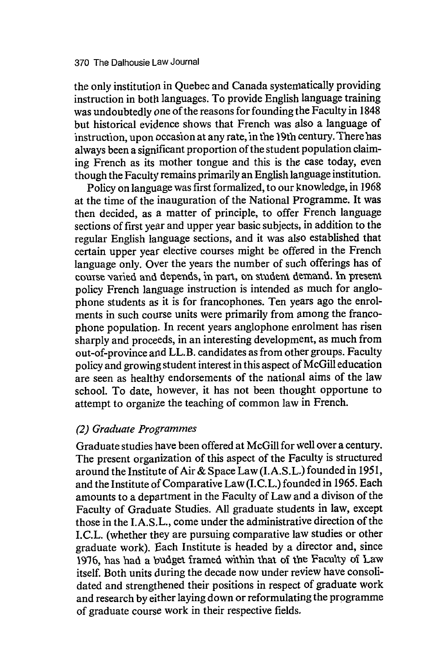the only institution in Quebec and Canada systeniatically providing instruction in both languages. To provide English language training was undoubtedly one of the reasons for founding the Faculty in 1848 but historical evidence shows that French was also a language of instruction, upon occasion at any rate, in the 19th century. There has always been a significant proportion of the student population claiming French as its mother tongue and this is the case today, even though the Faculty remains primarily an English language institution.

Policy on language was first formalized, to our knowledge, in 1968 at the time of the inauguration of the National Programme. It was then decided, as a matter of principle, to offer French language sections of first year and upper year basic subjects, in addition to the regular English language sections, and it was also established that certain upper year elective courses might be offered in the French language only. Over the years the number of such offerings has of course varied and depends, in part, on student demand. In present policy French language instruction is intended as much for anglophone students as it is for francophones. Ten years ago the enrolments in such course units were primarily from among the francophone population. In recent years anglophone enrolment has risen sharply and proceeds, in an interesting development, as much from out-of-province *and* LL.B. candidates as from other groups. Faculty policy and growing student interest in this aspect of McGill education are seen as healthy endorsements of the national aims of the law school. To date, however, it has not been thought opportune to attempt to organize the teaching of common law in French.

### *(2) Graduate Programmes*

Graduate studies have been offered at McGill for well over a century. The present organization of this aspect of the Faculty is structured around the Institute of Air & Space Law (I.A.S.L.) founded in 1951, and the Institute of Comparative Law (I.C.L.) founded in 1965. Each amounts to a department in the Faculty of Law and a divison of the Faculty of Graduate Studies. All graduate students in law, except those in the I.A.S.L., come under the administrative direction of the I.C.L. (whether they are pursuing comparative law studies or other graduate work). Each Institute is headed by a director and, since **1916,** has had a budget framed within that of the Faculty oi Law itself. Both units during the decade now under review have consolidated and strengthened their positions in respect of graduate work and research by either laying down or reformulating the programme of graduate course work in their respective fields.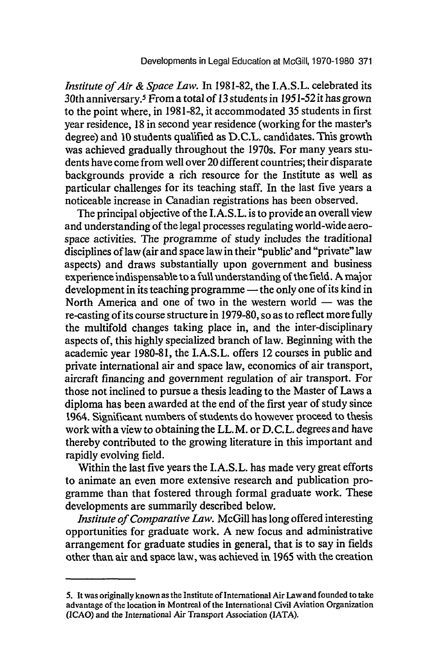*Institute of Air & Space Law.* In 1981-82, the I.A.S.L. celebrated its 30th anniversary.5 From a total of *13* students in 1951-52 it has grown to the point where, in 1981-82, it accommodated 35 students in first year residence, 18 in second year residence (working for the master's degree) and 10 students qualified as D.C.L. candidates. This growth was achieved gradually throughout the 1970s. For many years students have come from well over 20 different countries; their disparate backgrounds provide a rich resource for the Institute as well as particular challenges for its teaching staff. In the last five years a noticeable increase in Canadian registrations has been observed.

The principal objective of the I.A.S.L. is to provide an overall view and understanding of the legal processes regulating world-wide aerospace activities. The programme of study includes the traditional disciplines of law (air and space law in their "public' and "private" law aspects) and draws substantially upon government and business experience indispensable to a full understanding of the field. A major development in its teaching programme - the only one of its kind in North America and one of two in the western world  $-$  was the re-casting of its course structure in 1979-80, so as to reflect more fully the multifold changes taking place in, and the inter-disciplinary aspects of, this highly specialized branch of law. Beginning with the academic year 1980-81, the I.A.S.L. offers 12 courses in public and private international air and space law, economics of air transport, aircraft financing and government regulation of air transport. For those not inclined to pursue a thesis leading to the Master of Laws a diploma has been awarded at the end of the first year of study since 1964. Significant numbers of students do however proceed to thesis work with a view to obtaining the LL.M. or D.C.L. degrees and have thereby contributed to the growing literature in this important and rapidly evolving field.

Within the last five years the I.A.S.L. has made very great efforts to animate an even more extensive research and publication programme than that fostered through formal graduate work. These developments are summarily described below.

*Institute of Comparative Law.* McGill has long offered interesting opportunities for graduate work. A new focus and administrative arrangement for graduate studies in general, that is to say in fields other than air and space law, was achieved in 1965 with the creation

**<sup>5.</sup>** It was originally known as the Institute of International Air Law and founded to take advantage of the location in Montreal of the International Civil Aviation Organization (ICAO) and the International Air Transport Association (JATA).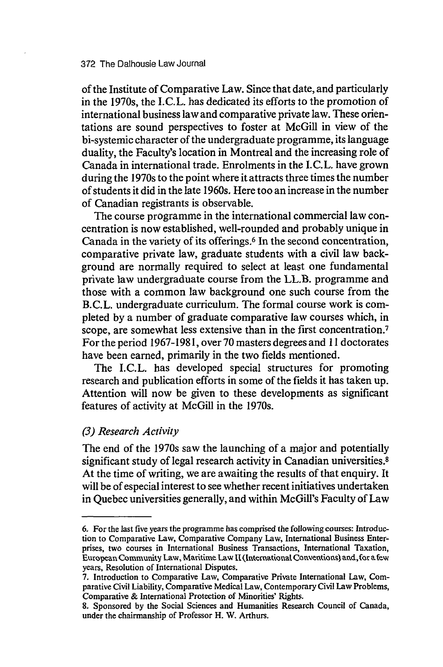#### 372 The Dalhousie Law Journal

of the Institute of Comparative Law. Since that date, and particularly in the 1970s, the I.C.L. has dedicated its efforts to the promotion of international business law and comparative private law. These orientations are sound perspectives to foster at McGill in view of the bi-systemic character of the undergraduate programme, its language duality, the Faculty's location in Montreal and the increasing role of Canada in international trade. Enrolments in the I.C.L. have grown during the 1970s to the point where it attracts three times the number of students it did in the late 1960s. Here too an increase in the number of Canadian registrants is observable.

The course programme in the international commercial law concentration is now established, well-rounded and probably unique in Canada in the variety of its offerings.<sup>6</sup> In the second concentration, comparative private law, graduate students with a civil law background are normally required to select at least one fundamental private law undergraduate course from the LL.B. programme and those with a common law background one such course from the B.C.L. undergraduate curriculum. The formal course work is completed by a number of graduate comparative law courses which, in scope, are somewhat less extensive than in the first concentration.<sup>7</sup> For the period 1967-198 **1,** over 70 masters degrees and 11 doctorates have been earned, primarily in the two fields mentioned.

The I.C.L. has developed special structures for promoting research and publication efforts in some of the fields it has taken up. Attention will now be given to these developments as significant features of activity at McGill in the 1970s.

#### *(3) Research Activity*

The end of the 1970s saw the launching of a major and potentially significant study of legal research activity in Canadian universities.<sup>8</sup> At the time of writing, we are awaiting the results of that enquiry. It will be of especial interest to see whether recent initiatives undertaken in Quebec universities generally, and within McGill's Faculty of Law

**<sup>6.</sup>** For the last five years the programme has comprised the following courses: Introduction to Comparative Law, Comparative Company Law, International Business Enterprises, two courses in International Business Transactions, International Taxation, European Community Law, Maritime Law II (International Cotventionsl and, for **8.** few years, Resolution of International Disputes.

<sup>7.</sup> Introduction to Comparative Law, Comparative Private International Law, Comparative Civil Liability, Comparative Medical Law, Contemporary Civil Law Problems, Comparative & International Protection of Minorities' Rights.

<sup>8.</sup> Sponsored by the Social Sciences and Humanities Research Council of Canada, under the chairmanship of Professor H. W. Arthurs.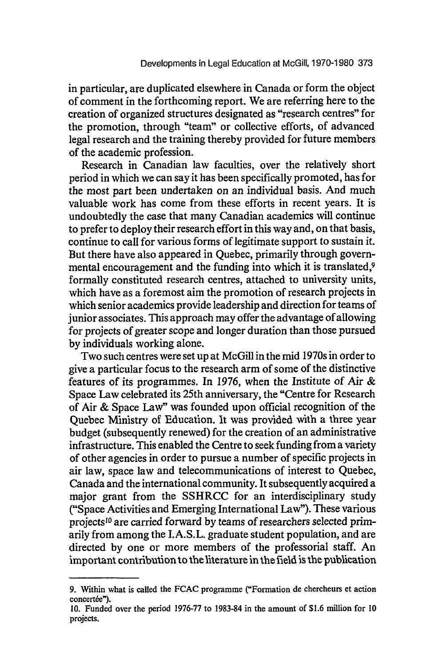in particular, are duplicated elsewhere in Canada or form the object of comment in the forthcoming report. We are referring here to the creation of organized structures designated as "research centres" for the promotion, through "team" or collective efforts, of advanced legal research and the training thereby provided for future members of the academic profession.

Research in Canadian law faculties, over the relatively short period in which we can say it has been specifically promoted, has for the most part been undertaken on an individual basis. And much valuable work has come from these efforts in recent years. It is undoubtedly the case that many Canadian academics will continue to prefer to deploy their research effort in this way and, on that basis, continue to call for various forms of legitimate support to sustain it. But there have also appeared in Quebec, primarily through governmental encouragement and the funding into which it is translated,<sup>9</sup> formally constituted research centres, attached to university units, which have as a foremost aim the promotion of research projects in which senior academics provide leadership and direction for teams of junior associates. This approach may offer the advantage of allowing for projects of greater scope and longer duration than those pursued by individuals working alone.

Two such centres were set up at McGill in the mid 1970s in order to give a particular focus to the research arm of some of the distinctive features of its programmes. In 1976, when the Institute of Air & Space Law celebrated its 25th anniversary, the "Centre for Research of Air & Space Law" was founded upon official recognition of the Quebec Ministry of Education. It was provided with a three year budget (subsequently renewed) for the creation of an administrative infrastructure. This enabled the Centre to seek funding from a variety of other agencies in order to pursue a number of specific projects in air law, space law and telecommunications of interest to Quebec, Canada and the international community. It subsequently acquired a major grant from the SSHRCC for an interdisciplinary study ("Space Activities and Emerging International Law"). These various projects'0 are carried forward by teams of researchers selected primarily from among the I.A.S.L. graduate student population, and are directed by one or more members of the professorial staff. An important contribution to the literature in the field is the publication

<sup>9.</sup> Within what is called the FCAC programme ("Formation de chercheurs et action concertée").

<sup>10.</sup> Funded over the period 1976-77 to 1983-84 in the amount of \$1.6 million for **10** projects.